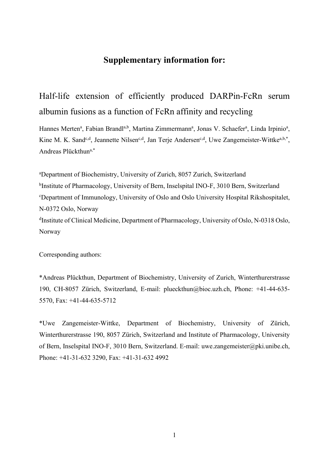# **Supplementary information for:**

# Half-life extension of efficiently produced DARPin-FcRn serum albumin fusions as a function of FcRn affinity and recycling

Hannes Merten<sup>a</sup>, Fabian Brandl<sup>a,b</sup>, Martina Zimmermann<sup>a</sup>, Jonas V. Schaefer<sup>a</sup>, Linda Irpinio<sup>a</sup>, Kine M. K. Sand<sup>c,d</sup>, Jeannette Nilsen<sup>c,d</sup>, Jan Terje Andersen<sup>c,d</sup>, Uwe Zangemeister-Wittke<sup>a,b,\*</sup>, Andreas Plückthuna,\*

a Department of Biochemistry, University of Zurich, 8057 Zurich, Switzerland <sup>b</sup>Institute of Pharmacology, University of Bern, Inselspital INO-F, 3010 Bern, Switzerland c Department of Immunology, University of Oslo and Oslo University Hospital Rikshospitalet, N-0372 Oslo, Norway <sup>d</sup>Institute of Clinical Medicine, Department of Pharmacology, University of Oslo, N-0318 Oslo, Norway

Corresponding authors:

\*Andreas Plückthun, Department of Biochemistry, University of Zurich, Winterthurerstrasse 190, CH-8057 Zürich, Switzerland, E-mail: plueckthun@bioc.uzh.ch, Phone: +41-44-635- 5570, Fax: +41-44-635-5712

\*Uwe Zangemeister-Wittke, Department of Biochemistry, University of Zürich, Winterthurerstrasse 190, 8057 Zürich, Switzerland and Institute of Pharmacology, University of Bern, Inselspital INO-F, 3010 Bern, Switzerland. E-mail: uwe.zangemeister@pki.unibe.ch, Phone: +41-31-632 3290, Fax: +41-31-632 4992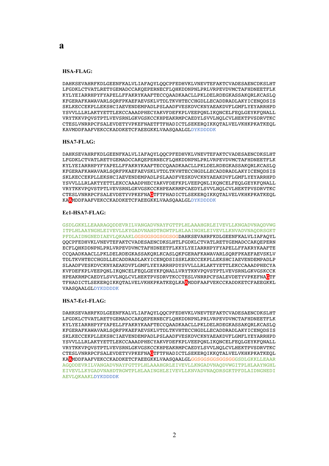#### **HSA-FLAG:**

DAHKSEVAHRFKDLGEENFKALVLIAFAQYLQQCPFEDHVKLVNEVTEFAKTCVADESAENCDKSLHT LFGDKLCTVATLRETYGEMADCCAKQEPERNECFLQHKDDNPNLPRLVRPEVDVMCTAFHDNEETFLK KYLYEIARRHPYFYAPELLFFAKRYKAAFTECCQAADKAACLLPKLDELRDEGKASSAKQRLKCASLQ KFGERAFKAWAVARLSQRFPKAEFAEVSKLVTDLTKVHTECCHGDLLECADDRADLAKYICENQDSIS SKLKECCEKPLLEKSHCIAEVENDEMPADLPSLAADFVESKDVCKNYAEAKDVFLGMFLYEYARRHPD YSVVLLLRLAKTYETTLEKCCAAADPHECYAKVFDEFKPLVEEPQNLIKQNCELFEQLGEYKFQNALL VRYTKKVPQVSTPTLVEVSRNLGKVGSKCCKHPEAKRMPCAEDYLSVVLNQLCVLHEKTPVSDRVTKC CTESLVNRRPCFSALEVDETYVPKEFNAETFTFHADICTLSEKERQIKKQTALVELVKHKPKATKEQL KAVMDDFAAFVEKCCKADDKETCFAEEGKKLVAASQAALGLDYKDDDDK

#### **HSA7-FLAG:**

DAHKSEVAHRFKDLGEENFKALVLIAFAQYLQQCPFEDHVKLVNEVTEFAKTCVADESAENCDKSLHT LFGDKLCTVATLRETYGEMADCCAKQEPERNECFLQHKDDNPNLPRLVRPEVDVMCTAFHDNEETFLK KYLYEIARRHPYFYAPELLFFAKRYKAAFTECCQAADKAACLLPKLDELRDEGKASSAKQRLKCASLQ KFGERAFKAWAVARLSQRFPKAEFAEVSKLVTDLTKVHTECCHGDLLECADDRADLAKYICENQDSIS SKLKECCEKPLLEKSHCIAEVENDEMPADLPSLAADFVESKDVCKNYAEAKDVFLGMFLYEYARRHPD YSVVLLLRLAKTYETTLEKCCAAADPHECYAKVFDEFKPLVEEPQNLIKQNCELFEQLGEYKFQNALL VRYTKKVPQVSTPTLVEVSRNLGKVGSKCCKHPEAKRMPCAEDYLSVVLNQLCVLHEKTPVSDRVTKC CTESLVNRRPCFSALEVDETYVPKEFNAGTFTFHADICTLSEKERQIKKQTALVELVKHKPKATKEQL KAAMDDFAAFVEKCCKADDKETCFAEEGKKLVAASQAALGLDYKDDDDK

#### **Ec1-HSA7-FLAG:**

GSDLGKKLLEAARAGQDDEVRILVANGADVNAYFGTTPLHLAAAHGRLEIVEVLLKNGADVNAQDVWG ITPLHLAAYNGHLEIVEVLLKYGADVNAHDTRGWTPLHLAAINGHLEIVEVLLKNVADVNAQDRSGKT PFDLAIDNGNEDIAEVLQKAAKLGGSGGSGGSGGSGGDAHKSEVAHRFKDLGEENFKALVLIAFAQYL QQCPFEDHVKLVNEVTEFAKTCVADESAENCDKSLHTLFGDKLCTVATLRETYGEMADCCAKQEPERN ECFLQHKDDNPNLPRLVRPEVDVMCTAFHDNEETFLKKYLYEIARRHPYFYAPELLFFAKRYKAAFTE CCQAADKAACLLPKLDELRDEGKASSAKQRLKCASLQKFGERAFKAWAVARLSQRFPKAEFAEVSKLV TDLTKVHTECCHGDLLECADDRADLAKYICENQDSISSKLKECCEKPLLEKSHCIAEVENDEMPADLP SLAADFVESKDVCKNYAEAKDVFLGMFLYEYARRHPDYSVVLLLRLAKTYETTLEKCCAAADPHECYA KVFDEFKPLVEEPQNLIKQNCELFEQLGEYKFQNALLVRYTKKVPQVSTPTLVEVSRNLGKVGSKCCK HPEAKRMPCAEDYLSVVLNQLCVLHEKTPVSDRVTKCCTESLVNRRPCFSALEVDETYVPKEFNAGTF TFHADICTLSEKEROIKKOTALVELVKHKPKATKEOLKAAMDDFAAFVEKCCKADDKETCFAEEGKKL VAASQAALGLDYKDDDDK

#### **HSA7-Ec1-FLAG:**

DAHKSEVAHRFKDLGEENFKALVLIAFAQYLQQCPFEDHVKLVNEVTEFAKTCVADESAENCDKSLHT LFGDKLCTVATLRETYGEMADCCAKQEPERNECFLQHKDDNPNLPRLVRPEVDVMCTAFHDNEETFLK KYLYEIARRHPYFYAPELLFFAKRYKAAFTECCQAADKAACLLPKLDELRDEGKASSAKQRLKCASLQ KFGERAFKAWAVARLSQRFPKAEFAEVSKLVTDLTKVHTECCHGDLLECADDRADLAKYICENQDSIS SKLKECCEKPLLEKSHCIAEVENDEMPADLPSLAADFVESKDVCKNYAEAKDVFLGMFLYEYARRHPD YSVVLLLRLAKTYETTLEKCCAAADPHECYAKVFDEFKPLVEEPQNLIKQNCELFEQLGEYKFQNALL VRYTKKVPQVSTPTLVEVSRNLGKVGSKCCKHPEAKRMPCAEDYLSVVLNQLCVLHEKTPVSDRVTKC CTESLVNRRPCFSALEVDETYVPKEFNAGTFTFHADICTLSEKERQIKKQTALVELVKHKPKATKEQL KAAMDDFAAFVEKCCKADDKETCFAEEGKKLVAASQAALGLGGSGGSGGSGGSGGGSDLGKKLLEAAR AGQDDEVRILVANGADVNAYFGTTPLHLAAAHGRLEIVEVLLKNGADVNAQDVWGITPLHLAAYNGHL EIVEVLLKYGADVNAHDTRGWTPLHLAAINGHLEIVEVLLKNVADVNAQDRSGKTPFDLAIDNGNEDI AEVLQKAAKLDYKDDDDK

**a**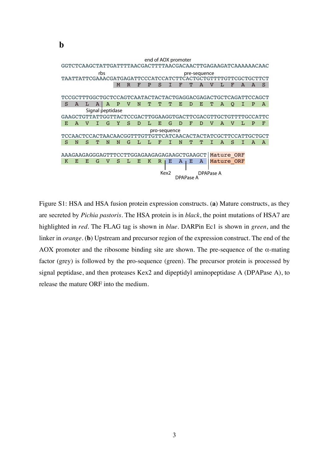GGTCTCAAGCTATTGATTTTAACGACTTTTAACGACAACTTGAGAAGATCAAAAAACAAC TAATTATTCGAAACGATGAGATTCCCATCCATCTTCACTGCTGTTTTGTTCGCTGCTTCT M R F P S I F T A V L F A A S TCCGCTTTGGCTGCTCCAGTCAATACTACTACTGAGGACGAGACTGCTCAGATTCCAGCT S A L A A P V N T T T E D E T A Q I P A GAAGCTGTTATTGGTTACTCCGACTTGGAAGGTGACTTCGACGTTGCTGTTTTGCCATTC E A V I G Y S D L E G D F D V A V L P F TCCAACTCCACTAACAACGGTTTGTTGTTCATCAACACTACTATCGCTTCCATTGCTGCT S N S T N N G L L F I N T T I A S I A A AAAGAAGAGGGAGTTTCCTTGGAGAAGAGAGAAGCTGAAGCT | Mature\_ORF K E E G V S L E K R E A E A Mature ORF Signal peptidase rbs **pre-sequence** end of AOX promoter pro-sequence Kex2 DPAPase A DPAPase A

**b**

Figure S1: HSA and HSA fusion protein expression constructs. (**a**) Mature constructs, as they are secreted by *Pichia pastoris*. The HSA protein is in *black*, the point mutations of HSA7 are highlighted in *red*. The FLAG tag is shown in *blue*. DARPin Ec1 is shown in *green*, and the linker in *orange*. (**b**) Upstream and precursor region of the expression construct. The end of the AOX promoter and the ribosome binding site are shown. The pre-sequence of the  $\alpha$ -mating factor (grey) is followed by the pro-sequence (green). The precursor protein is processed by signal peptidase, and then proteases Kex2 and dipeptidyl aminopeptidase A (DPAPase A), to release the mature ORF into the medium.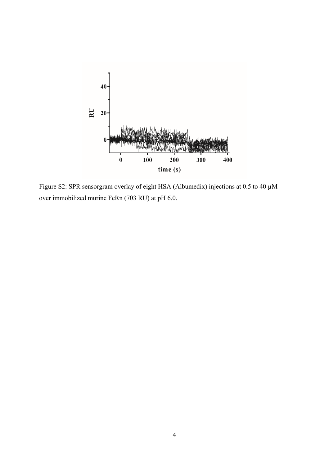

Figure S2: SPR sensorgram overlay of eight HSA (Albumedix) injections at 0.5 to 40 µM over immobilized murine FcRn (703 RU) at pH 6.0.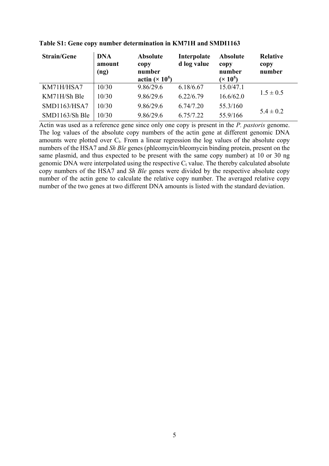| <b>Strain/Gene</b> | <b>DNA</b><br>amount<br>(ng) | <b>Absolute</b><br>copy<br>number<br>actin $(\times 10^5)$ | Interpolate<br>d log value | <b>Absolute</b><br>copy<br>number<br>$(x 10^5)$ | <b>Relative</b><br>copy<br>number |
|--------------------|------------------------------|------------------------------------------------------------|----------------------------|-------------------------------------------------|-----------------------------------|
| KM71H/HSA7         | 10/30                        | 9.86/29.6                                                  | 6.18/6.67                  | 15.0/47.1                                       | $1.5 \pm 0.5$                     |
| KM71H/Sh Ble       | 10/30                        | 9.86/29.6                                                  | 6.22/6.79                  | 16.6/62.0                                       |                                   |
| SMD1163/HSA7       | 10/30                        | 9.86/29.6                                                  | 6.74/7.20                  | 55.3/160                                        |                                   |
| SMD1163/Sh Ble     | 10/30                        | 9.86/29.6                                                  | 6.75/7.22                  | 55.9/166                                        | $5.4 \pm 0.2$                     |

**Table S1: Gene copy number determination in KM71H and SMDI1163**

Actin was used as a reference gene since only one copy is present in the *P. pastoris* genome. The log values of the absolute copy numbers of the actin gene at different genomic DNA amounts were plotted over  $C_t$ . From a linear regression the log values of the absolute copy numbers of the HSA7 and *Sh Ble* genes (phleomycin/bleomycin binding protein, present on the same plasmid, and thus expected to be present with the same copy number) at 10 or 30 ng genomic DNA were interpolated using the respective  $C_t$  value. The thereby calculated absolute copy numbers of the HSA7 and *Sh Ble* genes were divided by the respective absolute copy number of the actin gene to calculate the relative copy number. The averaged relative copy number of the two genes at two different DNA amounts is listed with the standard deviation.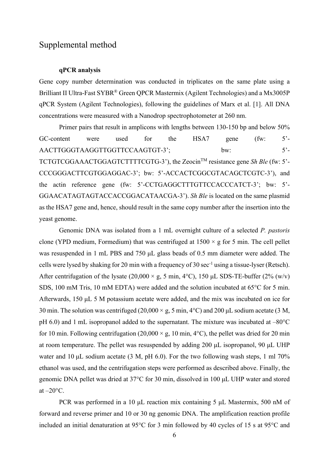## Supplemental method

## **qPCR analysis**

Gene copy number determination was conducted in triplicates on the same plate using a Brilliant II Ultra-Fast SYBR® Green QPCR Mastermix (Agilent Technologies) and a Mx3005P qPCR System (Agilent Technologies), following the guidelines of Marx et al. [1]. All DNA concentrations were measured with a Nanodrop spectrophotometer at 260 nm.

Primer pairs that result in amplicons with lengths between 130-150 bp and below 50% GC-content were used for the HSA7 gene (fw: 5'-AACTTGGGTAAGGTTGGTTCCAAGTGT-3'; bw: 5'-TCTGTCGGAAACTGGAGTCTTTTCGTG-3'), the ZeocinTM resistance gene *Sh Ble* (fw: 5'- CCCGGGACTTCGTGGAGGAC-3'; bw: 5'-ACCACTCGGCGTACAGCTCGTC-3'), and the actin reference gene (fw: 5'-CCTGAGGCTTTGTTCCACCCATCT-3'; bw: 5'- GGAACATAGTAGTACCACCGGACATAACGA-3'). *Sh Ble* is located on the same plasmid as the HSA7 gene and, hence, should result in the same copy number after the insertion into the yeast genome.

Genomic DNA was isolated from a 1 mL overnight culture of a selected *P. pastoris* clone (YPD medium, Formedium) that was centrifuged at  $1500 \times g$  for 5 min. The cell pellet was resuspended in 1 mL PBS and 750 μL glass beads of 0.5 mm diameter were added. The cells were lysed by shaking for 20 min with a frequency of 30 sec<sup>-1</sup> using a tissue-lyser (Retsch). After centrifugation of the lysate  $(20,000 \times g, 5 \text{ min}, 4^{\circ}\text{C})$ , 150 µL SDS-TE-buffer  $(2\%$  (w/v) SDS, 100 mM Tris, 10 mM EDTA) were added and the solution incubated at 65°C for 5 min. Afterwards, 150 μL 5 M potassium acetate were added, and the mix was incubated on ice for 30 min. The solution was centrifuged (20,000  $\times$  g, 5 min, 4 $\degree$ C) and 200 µL sodium acetate (3 M, pH 6.0) and 1 mL isopropanol added to the supernatant. The mixture was incubated at –80°C for 10 min. Following centrifugation  $(20,000 \times g, 10 \text{ min}, 4^{\circ}\text{C})$ , the pellet was dried for 20 min at room temperature. The pellet was resuspended by adding 200 μL isopropanol, 90 μL UHP water and 10  $\mu$ L sodium acetate (3 M, pH 6.0). For the two following wash steps, 1 ml 70% ethanol was used, and the centrifugation steps were performed as described above. Finally, the genomic DNA pellet was dried at 37°C for 30 min, dissolved in 100 μL UHP water and stored at  $-20$ °C.

PCR was performed in a 10 μL reaction mix containing 5 μL Mastermix, 500 nM of forward and reverse primer and 10 or 30 ng genomic DNA. The amplification reaction profile included an initial denaturation at 95°C for 3 min followed by 40 cycles of 15 s at 95°C and